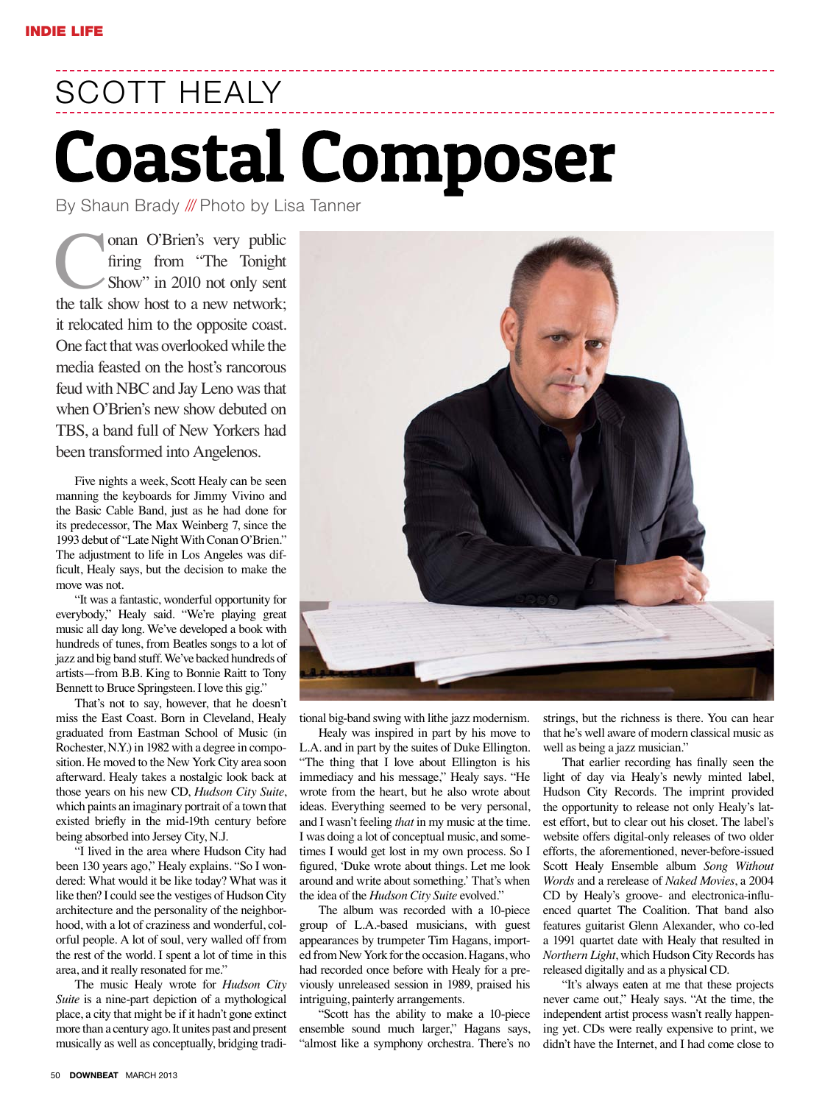## SCOTT HEALY **Coastal Composer**

By Shaun Brady /// Photo by Lisa Tanner

onan O'Brien's very public firing from "The Tonight Show" in 2010 not only sent the talk show host to a new network; it relocated him to the opposite coast. One fact that was overlooked while the media feasted on the host's rancorous feud with NBC and Jay Leno was that when O'Brien's new show debuted on TBS, a band full of New Yorkers had been transformed into Angelenos.

Five nights a week, Scott Healy can be seen manning the keyboards for Jimmy Vivino and the Basic Cable Band, just as he had done for its predecessor, The Max Weinberg 7, since the 1993 debut of "Late Night With Conan O'Brien." The adjustment to life in Los Angeles was difficult, Healy says, but the decision to make the move was not.

"It was a fantastic, wonderful opportunity for everybody," Healy said. "We're playing great music all day long. We've developed a book with hundreds of tunes, from Beatles songs to a lot of jazz and big band stuff. We've backed hundreds of artists-from B.B. King to Bonnie Raitt to Tony Bennett to Bruce Springsteen. I love this gig."

That's not to say, however, that he doesn't miss the East Coast. Born in Cleveland, Healy graduated from Eastman School of Music (in Rochester, N.Y.) in 1982 with a degree in composition. He moved to the New York City area soon afterward. Healy takes a nostalgic look back at those years on his new CD, *Hudson City Suite*, which paints an imaginary portrait of a town that existed briefly in the mid-19th century before being absorbed into Jersey City, N.J.

"I lived in the area where Hudson City had been 130 years ago," Healy explains. "So I wondered: What would it be like today? What was it like then? I could see the vestiges of Hudson City architecture and the personality of the neighborhood, with a lot of craziness and wonderful, colorful people. A lot of soul, very walled off from the rest of the world. I spent a lot of time in this area, and it really resonated for me."

The music Healy wrote for *Hudson City Suite* is a nine-part depiction of a mythological place, a city that might be if it hadn't gone extinct more than a century ago. It unites past and present musically as well as conceptually, bridging tradi-

tional big-band swing with lithe jazz modernism.

Healy was inspired in part by his move to L.A. and in part by the suites of Duke Ellington. "The thing that I love about Ellington is his immediacy and his message," Healy says. "He wrote from the heart, but he also wrote about ideas. Everything seemed to be very personal, and I wasn't feeling *that* in my music at the time. I was doing a lot of conceptual music, and sometimes I would get lost in my own process. So I figured, 'Duke wrote about things. Let me look around and write about something.' That's when the idea of the *Hudson City Suite* evolved."

The album was recorded with a 10-piece group of L.A.-based musicians, with guest appearances by trumpeter Tim Hagans, imported from New York for the occasion. Hagans, who had recorded once before with Healy for a previously unreleased session in 1989, praised his intriguing, painterly arrangements.

"Scott has the ability to make a 10-piece ensemble sound much larger," Hagans says, "almost like a symphony orchestra. There's no strings, but the richness is there. You can hear that he's well aware of modern classical music as well as being a jazz musician."

That earlier recording has finally seen the light of day via Healy's newly minted label, Hudson City Records. The imprint provided the opportunity to release not only Healy's latest effort, but to clear out his closet. The label's website offers digital-only releases of two older efforts, the aforementioned, never-before-issued Scott Healy Ensemble album *Song Without Words* and a rerelease of *Naked Movies*, a 2004 CD by Healy's groove- and electronica-influenced quartet The Coalition. That band also features guitarist Glenn Alexander, who co-led a 1991 quartet date with Healy that resulted in *Northern Light*, which Hudson City Records has released digitally and as a physical CD.

"It's always eaten at me that these projects never came out," Healy says. "At the time, the independent artist process wasn't really happening yet. CDs were really expensive to print, we didn't have the Internet, and I had come close to